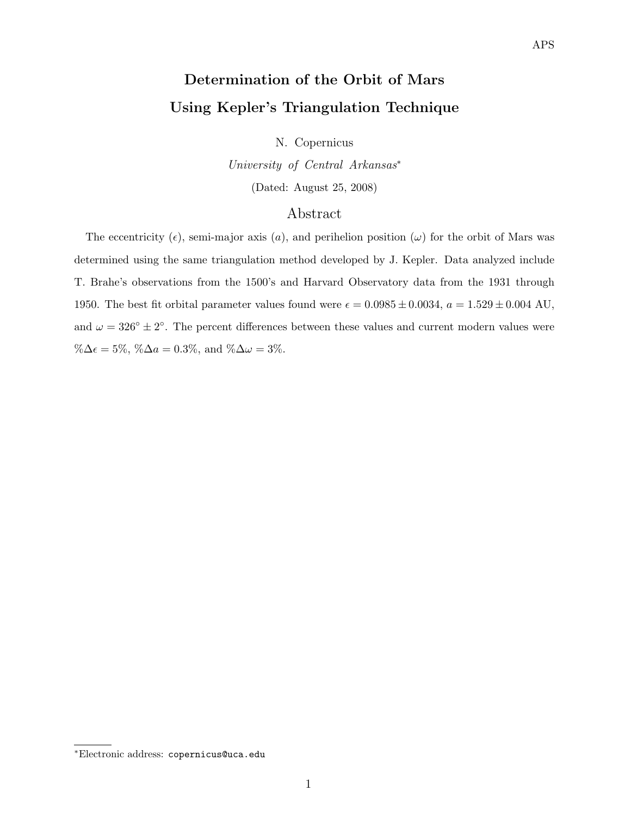# Determination of the Orbit of Mars Using Kepler's Triangulation Technique

N. Copernicus

University of Central Arkansas<sup>∗</sup> (Dated: August 25, 2008)

# Abstract

The eccentricity ( $\epsilon$ ), semi-major axis (a), and perihelion position ( $\omega$ ) for the orbit of Mars was determined using the same triangulation method developed by J. Kepler. Data analyzed include T. Brahe's observations from the 1500's and Harvard Observatory data from the 1931 through 1950. The best fit orbital parameter values found were  $\epsilon = 0.0985 \pm 0.0034$ ,  $a = 1.529 \pm 0.004$  AU, and  $\omega = 326^{\circ} \pm 2^{\circ}$ . The percent differences between these values and current modern values were  $\%\Delta \epsilon = 5\%, \%\Delta a = 0.3\%, \text{ and } \%\Delta \omega = 3\%.$ 

<sup>∗</sup>Electronic address: copernicus@uca.edu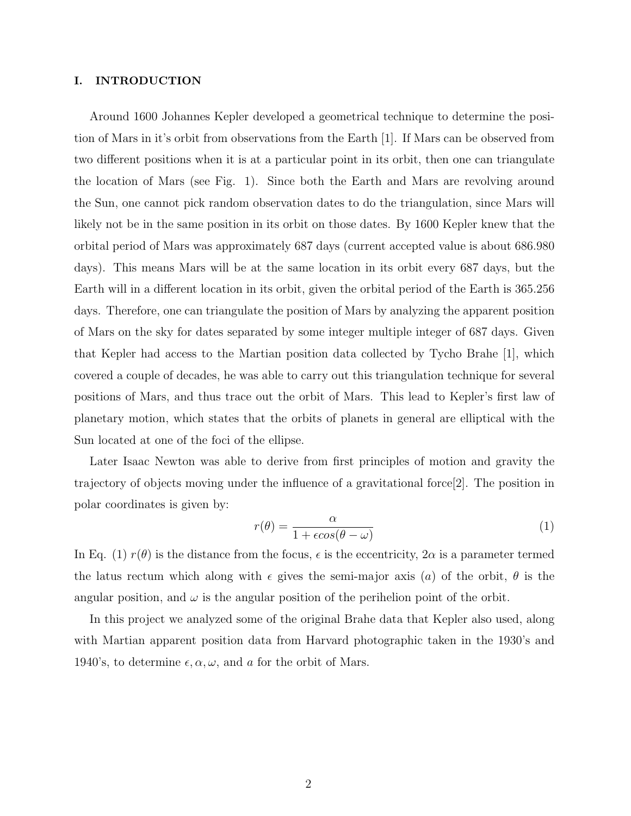## I. INTRODUCTION

Around 1600 Johannes Kepler developed a geometrical technique to determine the position of Mars in it's orbit from observations from the Earth [1]. If Mars can be observed from two different positions when it is at a particular point in its orbit, then one can triangulate the location of Mars (see Fig. 1). Since both the Earth and Mars are revolving around the Sun, one cannot pick random observation dates to do the triangulation, since Mars will likely not be in the same position in its orbit on those dates. By 1600 Kepler knew that the orbital period of Mars was approximately 687 days (current accepted value is about 686.980 days). This means Mars will be at the same location in its orbit every 687 days, but the Earth will in a different location in its orbit, given the orbital period of the Earth is 365.256 days. Therefore, one can triangulate the position of Mars by analyzing the apparent position of Mars on the sky for dates separated by some integer multiple integer of 687 days. Given that Kepler had access to the Martian position data collected by Tycho Brahe [1], which covered a couple of decades, he was able to carry out this triangulation technique for several positions of Mars, and thus trace out the orbit of Mars. This lead to Kepler's first law of planetary motion, which states that the orbits of planets in general are elliptical with the Sun located at one of the foci of the ellipse.

Later Isaac Newton was able to derive from first principles of motion and gravity the trajectory of objects moving under the influence of a gravitational force[2]. The position in polar coordinates is given by:

$$
r(\theta) = \frac{\alpha}{1 + \epsilon \cos(\theta - \omega)}\tag{1}
$$

In Eq. (1)  $r(\theta)$  is the distance from the focus,  $\epsilon$  is the eccentricity,  $2\alpha$  is a parameter termed the latus rectum which along with  $\epsilon$  gives the semi-major axis (a) of the orbit,  $\theta$  is the angular position, and  $\omega$  is the angular position of the perihelion point of the orbit.

In this project we analyzed some of the original Brahe data that Kepler also used, along with Martian apparent position data from Harvard photographic taken in the 1930's and 1940's, to determine  $\epsilon, \alpha, \omega$ , and a for the orbit of Mars.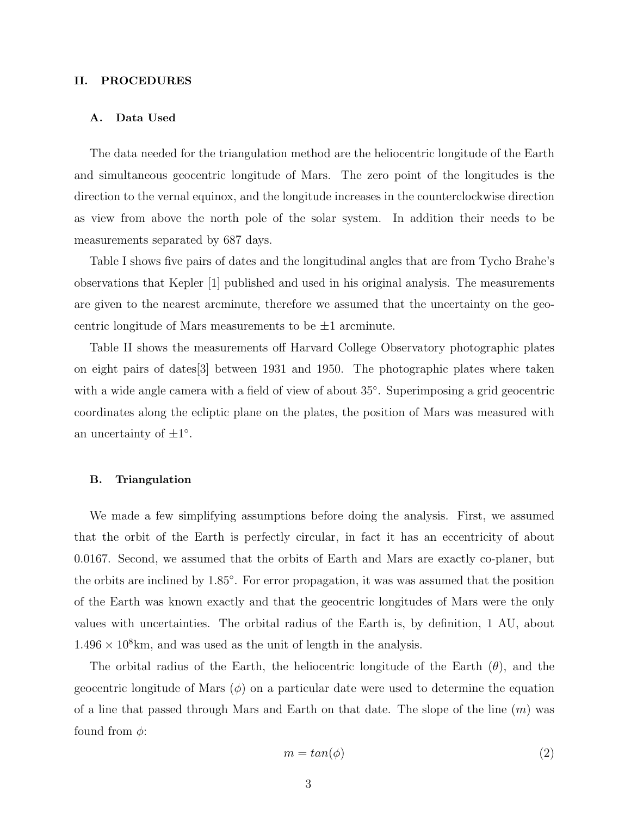#### II. PROCEDURES

#### A. Data Used

The data needed for the triangulation method are the heliocentric longitude of the Earth and simultaneous geocentric longitude of Mars. The zero point of the longitudes is the direction to the vernal equinox, and the longitude increases in the counterclockwise direction as view from above the north pole of the solar system. In addition their needs to be measurements separated by 687 days.

Table I shows five pairs of dates and the longitudinal angles that are from Tycho Brahe's observations that Kepler [1] published and used in his original analysis. The measurements are given to the nearest arcminute, therefore we assumed that the uncertainty on the geocentric longitude of Mars measurements to be  $\pm 1$  arcminute.

Table II shows the measurements off Harvard College Observatory photographic plates on eight pairs of dates[3] between 1931 and 1950. The photographic plates where taken with a wide angle camera with a field of view of about 35°. Superimposing a grid geocentric coordinates along the ecliptic plane on the plates, the position of Mars was measured with an uncertainty of  $\pm 1^{\circ}$ .

#### B. Triangulation

We made a few simplifying assumptions before doing the analysis. First, we assumed that the orbit of the Earth is perfectly circular, in fact it has an eccentricity of about 0.0167. Second, we assumed that the orbits of Earth and Mars are exactly co-planer, but the orbits are inclined by 1.85◦ . For error propagation, it was was assumed that the position of the Earth was known exactly and that the geocentric longitudes of Mars were the only values with uncertainties. The orbital radius of the Earth is, by definition, 1 AU, about  $1.496 \times 10^8$  km, and was used as the unit of length in the analysis.

The orbital radius of the Earth, the heliocentric longitude of the Earth  $(\theta)$ , and the geocentric longitude of Mars  $(\phi)$  on a particular date were used to determine the equation of a line that passed through Mars and Earth on that date. The slope of the line  $(m)$  was found from  $\phi$ :

$$
m = \tan(\phi) \tag{2}
$$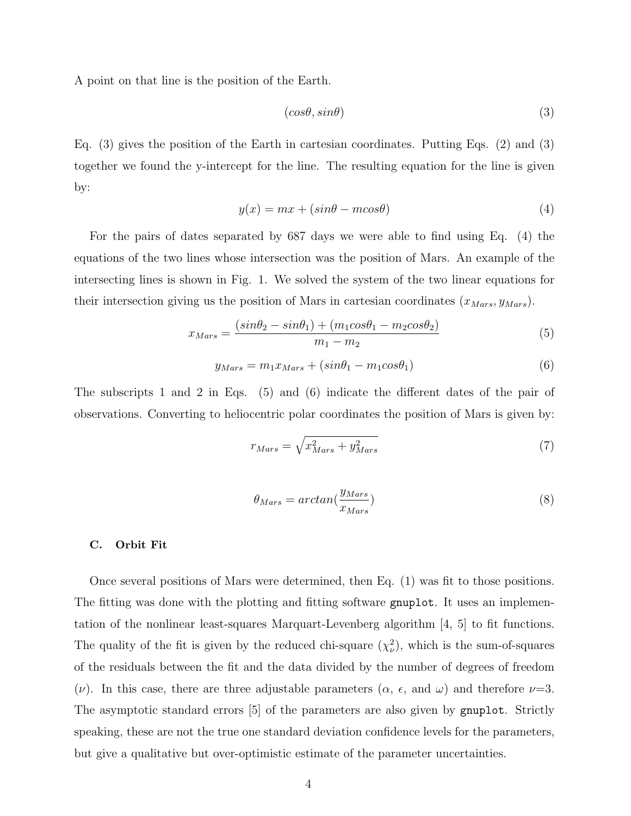A point on that line is the position of the Earth.

$$
(cos\theta, sin\theta) \tag{3}
$$

Eq. (3) gives the position of the Earth in cartesian coordinates. Putting Eqs. (2) and (3) together we found the y-intercept for the line. The resulting equation for the line is given by:

$$
y(x) = mx + (sin\theta - m\cos\theta)
$$
 (4)

For the pairs of dates separated by 687 days we were able to find using Eq. (4) the equations of the two lines whose intersection was the position of Mars. An example of the intersecting lines is shown in Fig. 1. We solved the system of the two linear equations for their intersection giving us the position of Mars in cartesian coordinates  $(x_{Mars}, y_{Mars})$ .

$$
x_{Mars} = \frac{(sin\theta_2 - sin\theta_1) + (m_1cos\theta_1 - m_2cos\theta_2)}{m_1 - m_2}
$$
 (5)

$$
y_{Mars} = m_1 x_{Mars} + (sin\theta_1 - m_1 cos\theta_1)
$$
\n<sup>(6)</sup>

The subscripts 1 and 2 in Eqs. (5) and (6) indicate the different dates of the pair of observations. Converting to heliocentric polar coordinates the position of Mars is given by:

$$
r_{Mars} = \sqrt{x_{Mars}^2 + y_{Mars}^2}
$$
\n<sup>(7)</sup>

$$
\theta_{Mars} = \arctan(\frac{y_{Mars}}{x_{Mars}})
$$
\n(8)

### C. Orbit Fit

Once several positions of Mars were determined, then Eq. (1) was fit to those positions. The fitting was done with the plotting and fitting software gnuplot. It uses an implementation of the nonlinear least-squares Marquart-Levenberg algorithm [4, 5] to fit functions. The quality of the fit is given by the reduced chi-square  $(\chi^2_{\nu})$ , which is the sum-of-squares of the residuals between the fit and the data divided by the number of degrees of freedom (*v*). In this case, there are three adjustable parameters ( $\alpha$ ,  $\epsilon$ , and  $\omega$ ) and therefore  $\nu=3$ . The asymptotic standard errors [5] of the parameters are also given by gnuplot. Strictly speaking, these are not the true one standard deviation confidence levels for the parameters, but give a qualitative but over-optimistic estimate of the parameter uncertainties.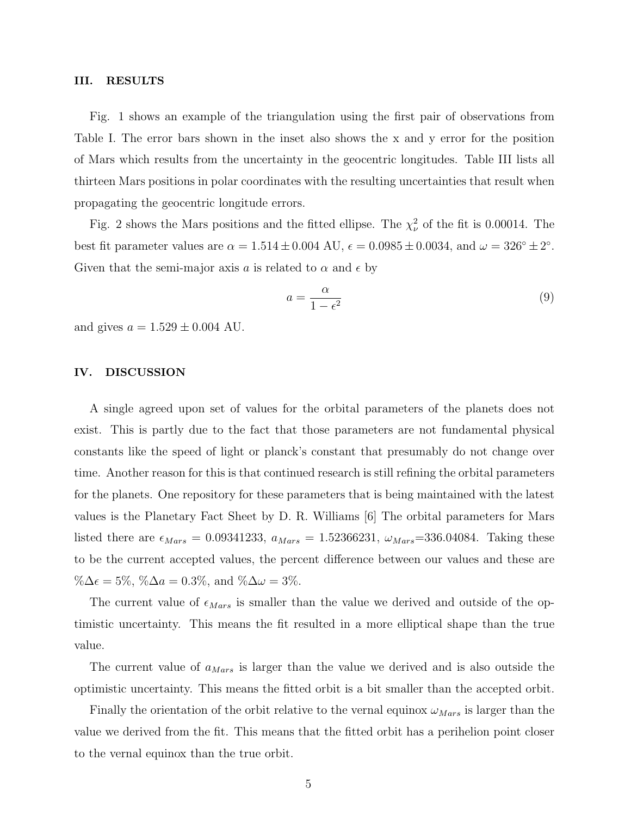#### III. RESULTS

Fig. 1 shows an example of the triangulation using the first pair of observations from Table I. The error bars shown in the inset also shows the x and y error for the position of Mars which results from the uncertainty in the geocentric longitudes. Table III lists all thirteen Mars positions in polar coordinates with the resulting uncertainties that result when propagating the geocentric longitude errors.

Fig. 2 shows the Mars positions and the fitted ellipse. The  $\chi^2_{\nu}$  of the fit is 0.00014. The best fit parameter values are  $\alpha = 1.514 \pm 0.004$  AU,  $\epsilon = 0.0985 \pm 0.0034$ , and  $\omega = 326^{\circ} \pm 2^{\circ}$ . Given that the semi-major axis a is related to  $\alpha$  and  $\epsilon$  by

$$
a = \frac{\alpha}{1 - \epsilon^2} \tag{9}
$$

and gives  $a = 1.529 \pm 0.004$  AU.

#### IV. DISCUSSION

A single agreed upon set of values for the orbital parameters of the planets does not exist. This is partly due to the fact that those parameters are not fundamental physical constants like the speed of light or planck's constant that presumably do not change over time. Another reason for this is that continued research is still refining the orbital parameters for the planets. One repository for these parameters that is being maintained with the latest values is the Planetary Fact Sheet by D. R. Williams [6] The orbital parameters for Mars listed there are  $\epsilon_{Mars} = 0.09341233$ ,  $a_{Mars} = 1.52366231$ ,  $\omega_{Mars} = 336.04084$ . Taking these to be the current accepted values, the percent difference between our values and these are % $\Delta \epsilon = 5\%, \% \Delta a = 0.3\%, \text{ and } \% \Delta \omega = 3\%.$ 

The current value of  $\epsilon_{Mars}$  is smaller than the value we derived and outside of the optimistic uncertainty. This means the fit resulted in a more elliptical shape than the true value.

The current value of  $a_{Mars}$  is larger than the value we derived and is also outside the optimistic uncertainty. This means the fitted orbit is a bit smaller than the accepted orbit.

Finally the orientation of the orbit relative to the vernal equinox  $\omega_{Mars}$  is larger than the value we derived from the fit. This means that the fitted orbit has a perihelion point closer to the vernal equinox than the true orbit.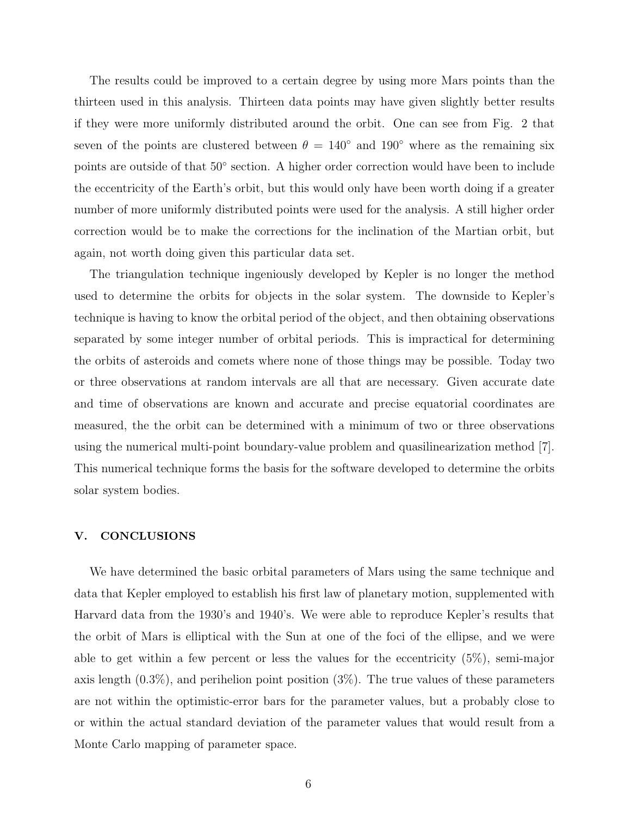The results could be improved to a certain degree by using more Mars points than the thirteen used in this analysis. Thirteen data points may have given slightly better results if they were more uniformly distributed around the orbit. One can see from Fig. 2 that seven of the points are clustered between  $\theta = 140^{\circ}$  and  $190^{\circ}$  where as the remaining six points are outside of that  $50°$  section. A higher order correction would have been to include the eccentricity of the Earth's orbit, but this would only have been worth doing if a greater number of more uniformly distributed points were used for the analysis. A still higher order correction would be to make the corrections for the inclination of the Martian orbit, but again, not worth doing given this particular data set.

The triangulation technique ingeniously developed by Kepler is no longer the method used to determine the orbits for objects in the solar system. The downside to Kepler's technique is having to know the orbital period of the object, and then obtaining observations separated by some integer number of orbital periods. This is impractical for determining the orbits of asteroids and comets where none of those things may be possible. Today two or three observations at random intervals are all that are necessary. Given accurate date and time of observations are known and accurate and precise equatorial coordinates are measured, the the orbit can be determined with a minimum of two or three observations using the numerical multi-point boundary-value problem and quasilinearization method [7]. This numerical technique forms the basis for the software developed to determine the orbits solar system bodies.

### V. CONCLUSIONS

We have determined the basic orbital parameters of Mars using the same technique and data that Kepler employed to establish his first law of planetary motion, supplemented with Harvard data from the 1930's and 1940's. We were able to reproduce Kepler's results that the orbit of Mars is elliptical with the Sun at one of the foci of the ellipse, and we were able to get within a few percent or less the values for the eccentricity (5%), semi-major axis length  $(0.3\%)$ , and perihelion point position  $(3\%)$ . The true values of these parameters are not within the optimistic-error bars for the parameter values, but a probably close to or within the actual standard deviation of the parameter values that would result from a Monte Carlo mapping of parameter space.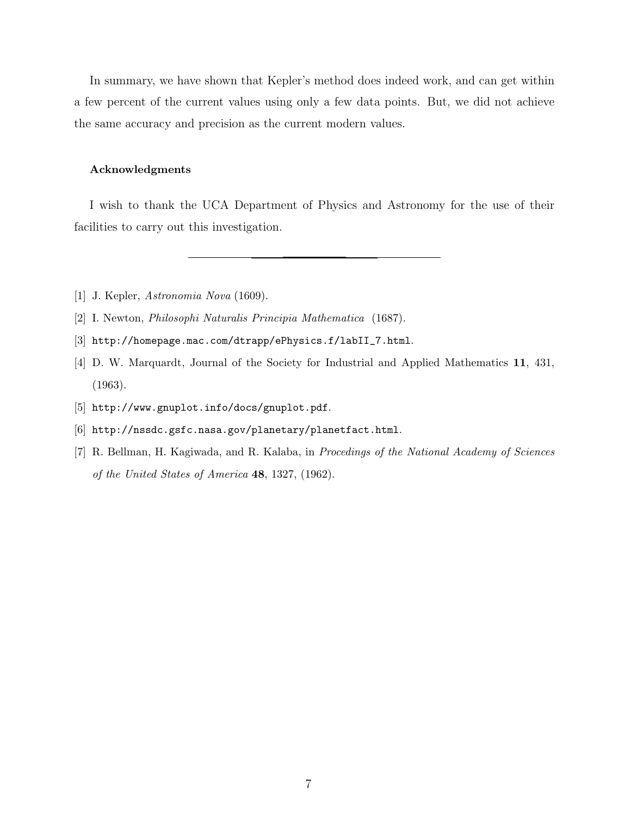In summary, we have shown that Kepler's method does indeed work, and can get within a few percent of the current values using only a few data points. But, we did not achieve the same accuracy and precision as the current modern values.

## Acknowledgments

I wish to thank the UCA Department of Physics and Astronomy for the use of their facilities to carry out this investigation.

- [1] J. Kepler, Astronomia Nova (1609).
- [2] I. Newton, Philosophi Naturalis Principia Mathematica (1687).
- [3] http://homepage.mac.com/dtrapp/ePhysics.f/labII\_7.html.
- [4] D. W. Marquardt, Journal of the Society for Industrial and Applied Mathematics 11, 431, (1963).
- [5] http://www.gnuplot.info/docs/gnuplot.pdf.
- [6] http://nssdc.gsfc.nasa.gov/planetary/planetfact.html.
- [7] R. Bellman, H. Kagiwada, and R. Kalaba, in Procedings of the National Academy of Sciences of the United States of America 48, 1327, (1962).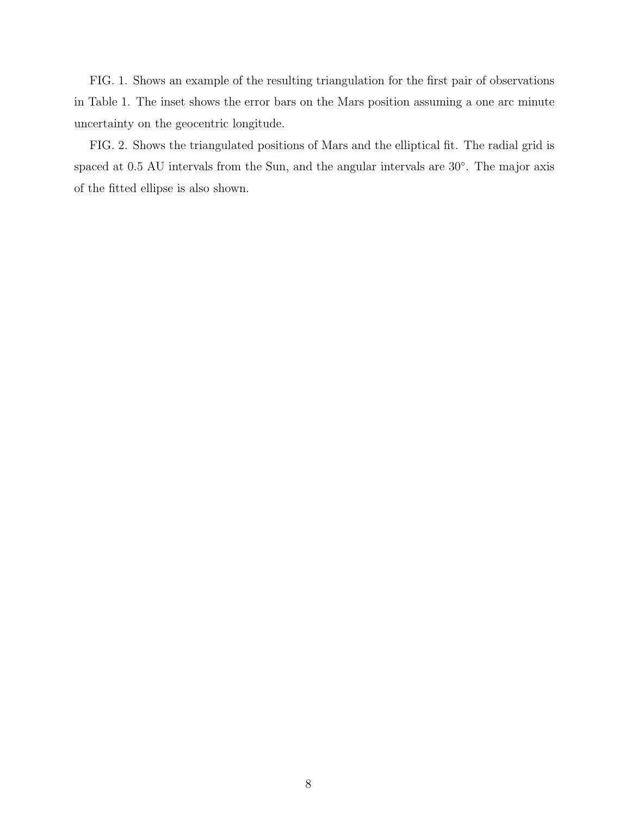FIG. 1. Shows an example of the resulting triangulation for the first pair of observations in Table 1. The inset shows the error bars on the Mars position assuming a one arc minute uncertainty on the geocentric longitude.

FIG. 2. Shows the triangulated positions of Mars and the elliptical fit. The radial grid is spaced at 0.5 AU intervals from the Sun, and the angular intervals are 30°. The major axis of the fitted ellipse is also shown.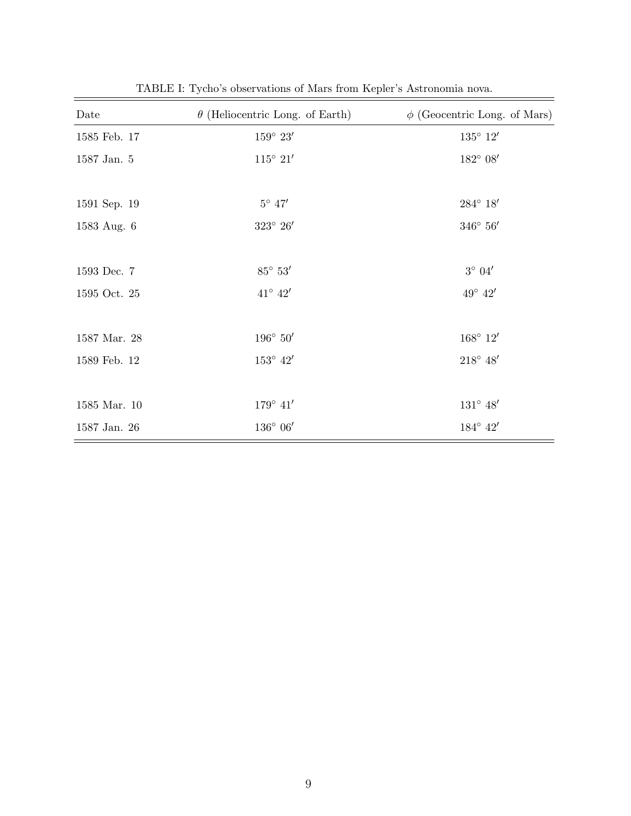| Date         | $\theta$ (Heliocentric Long. of Earth) | $\phi$ (Geocentric Long. of Mars) |
|--------------|----------------------------------------|-----------------------------------|
| 1585 Feb. 17 | $159^{\circ} 23'$                      | $135^{\circ}$ $12'$               |
| 1587 Jan. 5  | $115^{\circ}$ $21'$                    | $182^{\circ}$ $08'$               |
|              |                                        |                                   |
| 1591 Sep. 19 | $5^{\circ}$ 47 $^{\prime}$             | $284^{\circ}$ $18'$               |
| 1583 Aug. 6  | $323^{\circ}$ $26'$                    | $346^{\circ}$ $56'$               |
|              |                                        |                                   |
| 1593 Dec. 7  | $85^{\circ}$ $53^{\prime}$             | $3^{\circ}$ $04'$                 |
| 1595 Oct. 25 | $41^{\circ}$ $42'$                     | $49^{\circ}$ $42'$                |
|              |                                        |                                   |
| 1587 Mar. 28 | $196^{\circ}$ $50'$                    | $168^{\circ}$ $12'$               |
| 1589 Feb. 12 | $153^{\circ}$ $42^{\prime}$            | $218^{\circ}$ $48^{\prime}$       |
|              |                                        |                                   |
| 1585 Mar. 10 | $179^{\circ}$ $41'$                    | $131^{\circ}$ $48^{\prime}$       |
| 1587 Jan. 26 | $136^{\circ}$ 06 $^{\prime}$           | $184^{\circ}$ $42'$               |

TABLE I: Tycho's observations of Mars from Kepler's Astronomia nova.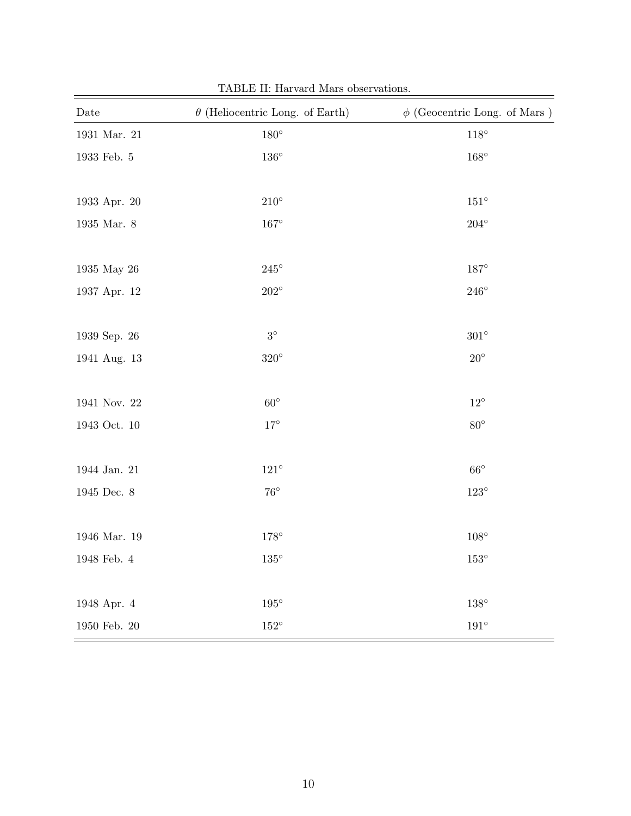| Date                   | $\theta$ (Heliocentric Long. of Earth) | $\phi$ (Geocentric Long. of Mars) |
|------------------------|----------------------------------------|-----------------------------------|
| $1931$ Mar. $21\,$     | $180^\circ$                            | $118^{\circ}$                     |
| $1933$ Feb. $\sqrt{5}$ | $136^{\circ}$                          | $168^\circ$                       |
|                        |                                        |                                   |
| $1933$ Apr. $20\,$     | $210^{\circ}$                          | $151^{\circ}$                     |
| $1935$ Mar. $8\,$      | $167^\circ$                            | $204^{\circ}$                     |
|                        |                                        |                                   |
| 1935 May 26            | $245^{\circ}$                          | $187^\circ$                       |
| 1937 Apr. 12           | $202^\circ$                            | $246^{\circ}$                     |
|                        |                                        |                                   |
| 1939 Sep. 26           | $3^\circ$                              | $301^{\circ}$                     |
| 1941 Aug. 13           | $320^\circ$                            | $20^{\circ}$                      |
|                        |                                        |                                   |
| 1941 Nov. 22           | $60^\circ$                             | $12^{\circ}$                      |
| 1943 Oct. 10           | $17^{\circ}$                           | $80^\circ$                        |
|                        |                                        |                                   |
| 1944 Jan. 21           | $121^{\circ}$                          | $66^{\circ}$                      |
| $1945$ Dec. $8\,$      | $76^{\circ}$                           | $123^{\circ}$                     |
|                        |                                        |                                   |
| $1946$ Mar. $19\,$     | $178^\circ$                            | $108^\circ$                       |
| $1948$ Feb. $4\,$      | $135^\circ$                            | $153^\circ$                       |
|                        |                                        |                                   |
| 1948 Apr. 4            | $195^\circ$                            | $138^\circ$                       |
| $1950$ Feb. $20\,$     | $152^{\circ}$                          | $191^{\circ}$                     |

TABLE II: Harvard Mars observations.